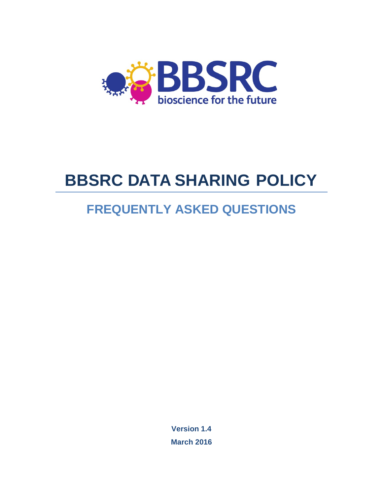

# **BBSRC DATA SHARING POLICY**

# **FREQUENTLY ASKED QUESTIONS**

**Version 1.4 March 2016**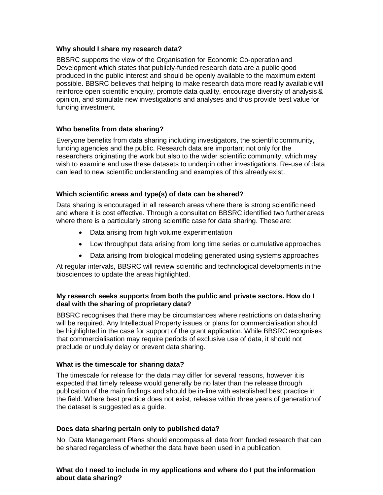#### **Why should I share my research data?**

BBSRC supports the view of the Organisation for Economic Co-operation and Development which states that publicly-funded research data are a public good produced in the public interest and should be openly available to the maximum extent possible. BBSRC believes that helping to make research data more readily available will reinforce open scientific enquiry, promote data quality, encourage diversity of analysis & opinion, and stimulate new investigations and analyses and thus provide best value for funding investment.

## **Who benefits from data sharing?**

Everyone benefits from data sharing including investigators, the scientific community, funding agencies and the public. Research data are important not only for the researchers originating the work but also to the wider scientific community, which may wish to examine and use these datasets to underpin other investigations. Re-use of data can lead to new scientific understanding and examples of this already exist.

#### **Which scientific areas and type(s) of data can be shared?**

Data sharing is encouraged in all research areas where there is strong scientific need and where it is cost effective. Through a consultation BBSRC identified two further areas where there is a particularly strong scientific case for data sharing. These are:

- Data arising from high volume experimentation
- Low throughput data arising from long time series or cumulative approaches
- Data arising from biological modeling generated using systems approaches

At regular intervals, BBSRC will review scientific and technological developments in the biosciences to update the areas highlighted.

#### **My research seeks supports from both the public and private sectors. How do I deal with the sharing of proprietary data?**

BBSRC recognises that there may be circumstances where restrictions on data sharing will be required. Any Intellectual Property issues or plans for commercialisation should be highlighted in the case for support of the grant application. While BBSRC recognises that commercialisation may require periods of exclusive use of data, it should not preclude or unduly delay or prevent data sharing.

#### **What is the timescale for sharing data?**

The timescale for release for the data may differ for several reasons, however it is expected that timely release would generally be no later than the release through publication of the main findings and should be in-line with established best practice in the field. Where best practice does not exist, release within three years of generation of the dataset is suggested as a guide.

#### **Does data sharing pertain only to published data?**

No, Data Management Plans should encompass all data from funded research that can be shared regardless of whether the data have been used in a publication.

#### **What do I need to include in my applications and where do I put the information about data sharing?**